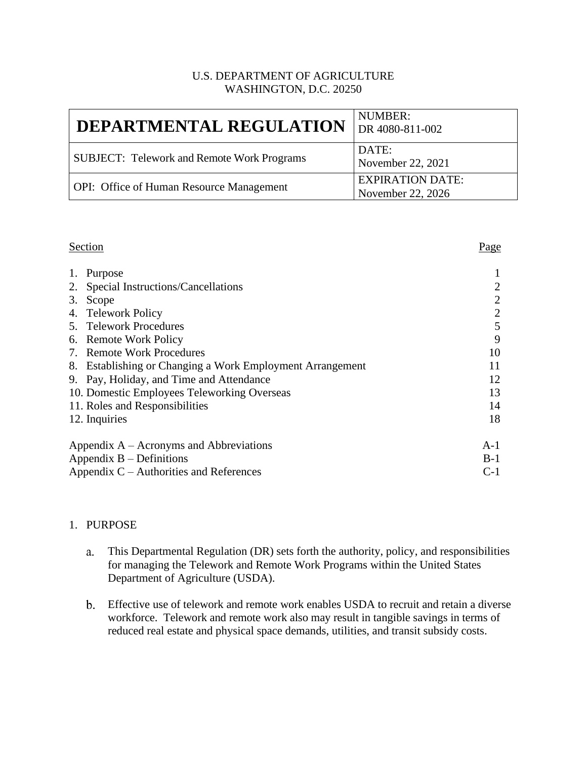### U.S. DEPARTMENT OF AGRICULTURE WASHINGTON, D.C. 20250

| <b>DEPARTMENTAL REGULATION</b>   DR 4080-811-002  | NUMBER:                                      |
|---------------------------------------------------|----------------------------------------------|
| <b>SUBJECT: Telework and Remote Work Programs</b> | DATE:<br>November 22, 2021                   |
| <b>OPI:</b> Office of Human Resource Management   | <b>EXPIRATION DATE:</b><br>November 22, 2026 |

#### Section Page

| 1.                         | Purpose                                                   |                |
|----------------------------|-----------------------------------------------------------|----------------|
|                            | 2. Special Instructions/Cancellations                     | $\overline{2}$ |
|                            | 3. Scope                                                  | $\overline{2}$ |
|                            | 4. Telework Policy                                        | $\overline{2}$ |
|                            | 5. Telework Procedures                                    | 5              |
|                            | 6. Remote Work Policy                                     | 9              |
|                            | 7. Remote Work Procedures                                 | 10             |
|                            | 8. Establishing or Changing a Work Employment Arrangement | 11             |
|                            | 9. Pay, Holiday, and Time and Attendance                  | 12             |
|                            | 10. Domestic Employees Teleworking Overseas               | 13             |
|                            | 11. Roles and Responsibilities                            | 14             |
| 12. Inquiries              |                                                           | 18             |
|                            | Appendix $A - A$ cronyms and Abbreviations                | $A-1$          |
| Appendix $B$ – Definitions |                                                           | $B-1$          |
|                            | Appendix $C -$ Authorities and References                 | $C-1$          |

## 1. PURPOSE

- This Departmental Regulation (DR) sets forth the authority, policy, and responsibilities a. for managing the Telework and Remote Work Programs within the United States Department of Agriculture (USDA).
- Effective use of telework and remote work enables USDA to recruit and retain a diverse workforce. Telework and remote work also may result in tangible savings in terms of reduced real estate and physical space demands, utilities, and transit subsidy costs.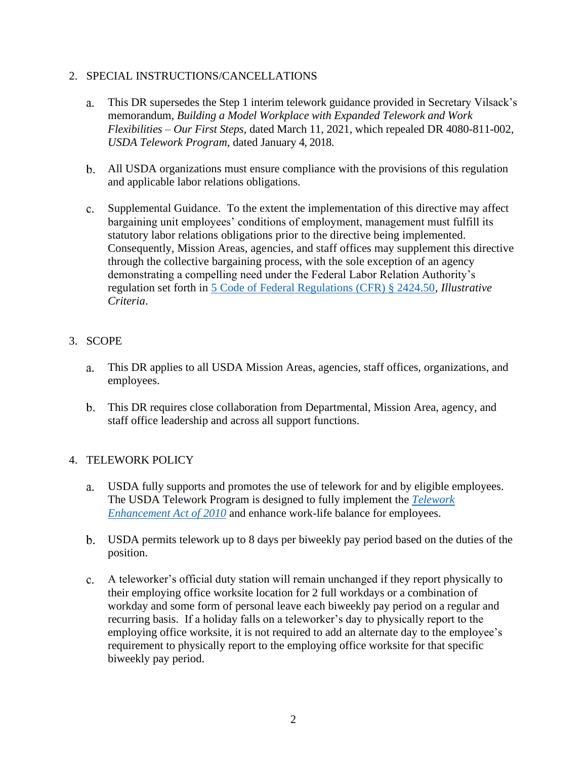## 2. SPECIAL INSTRUCTIONS/CANCELLATIONS

- This DR supersedes the Step 1 interim telework guidance provided in Secretary Vilsack's a. memorandum*, Building a Model Workplace with Expanded Telework and Work Flexibilities – Our First Steps*, dated March 11, 2021, which repealed DR 4080-811-002, *USDA Telework Program*, dated January 4, 2018.
- All USDA organizations must ensure compliance with the provisions of this regulation and applicable labor relations obligations.
- Supplemental Guidance. To the extent the implementation of this directive may affect bargaining unit employees' conditions of employment, management must fulfill its statutory labor relations obligations prior to the directive being implemented. Consequently, Mission Areas, agencies, and staff offices may supplement this directive through the collective bargaining process, with the sole exception of an agency demonstrating a compelling need under the Federal Labor Relation Authority's regulation set forth in [5 Code of Federal Regulations \(CFR\) § 2424.50,](https://www.govinfo.gov/content/pkg/CFR-2021-title5-vol3/pdf/CFR-2021-title5-vol3-sec2424-50.pdf) *Illustrative Criteria*.

## 3. SCOPE

- a. This DR applies to all USDA Mission Areas, agencies, staff offices, organizations, and employees.
- This DR requires close collaboration from Departmental, Mission Area, agency, and  $b.$ staff office leadership and across all support functions.

## 4. TELEWORK POLICY

- a. USDA fully supports and promotes the use of telework for and by eligible employees. The USDA Telework Program is designed to fully implement the *[Telework](https://www.congress.gov/111/plaws/publ292/PLAW-111publ292.pdf) [Enhancement Act of 2010](https://www.congress.gov/111/plaws/publ292/PLAW-111publ292.pdf)* and enhance work-life balance for employees.
- USDA permits telework up to 8 days per biweekly pay period based on the duties of the position.
- A teleworker's official duty station will remain unchanged if they report physically to their employing office worksite location for 2 full workdays or a combination of workday and some form of personal leave each biweekly pay period on a regular and recurring basis. If a holiday falls on a teleworker's day to physically report to the employing office worksite, it is not required to add an alternate day to the employee's requirement to physically report to the employing office worksite for that specific biweekly pay period.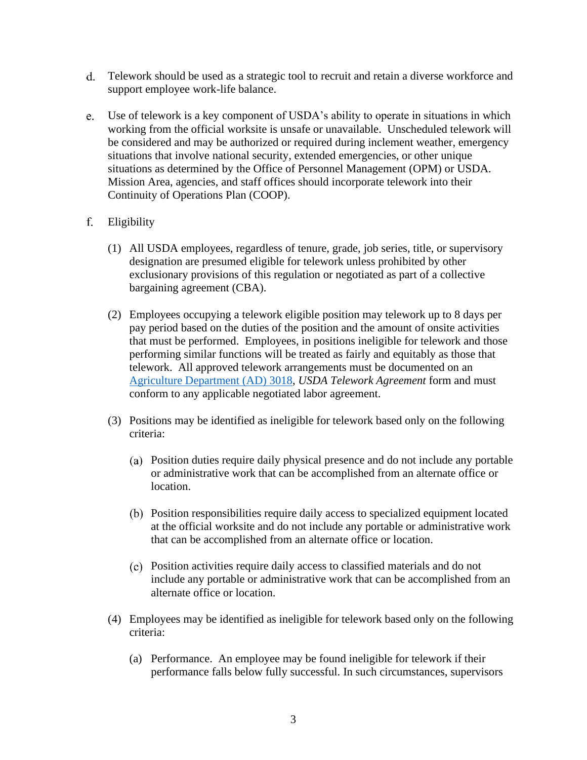- Telework should be used as a strategic tool to recruit and retain a diverse workforce and support employee work-life balance.
- $e.$ Use of telework is a key component of USDA's ability to operate in situations in which working from the official worksite is unsafe or unavailable. Unscheduled telework will be considered and may be authorized or required during inclement weather, emergency situations that involve national security, extended emergencies, or other unique situations as determined by the Office of Personnel Management (OPM) or USDA. Mission Area, agencies, and staff offices should incorporate telework into their Continuity of Operations Plan (COOP).
- f. Eligibility
	- (1) All USDA employees, regardless of tenure, grade, job series, title, or supervisory designation are presumed eligible for telework unless prohibited by other exclusionary provisions of this regulation or negotiated as part of a collective bargaining agreement (CBA).
	- (2) Employees occupying a telework eligible position may telework up to 8 days per pay period based on the duties of the position and the amount of onsite activities that must be performed. Employees, in positions ineligible for telework and those performing similar functions will be treated as fairly and equitably as those that telework. All approved telework arrangements must be documented on an [Agriculture Department](https://www.usda.gov/sites/default/files/documents/ad-3018-telework-agreement.pdf) (AD) 3018, *USDA Telework Agreement* form and must conform to any applicable negotiated labor agreement.
	- (3) Positions may be identified as ineligible for telework based only on the following criteria:
		- Position duties require daily physical presence and do not include any portable or administrative work that can be accomplished from an alternate office or location.
		- Position responsibilities require daily access to specialized equipment located at the official worksite and do not include any portable or administrative work that can be accomplished from an alternate office or location.
		- Position activities require daily access to classified materials and do not include any portable or administrative work that can be accomplished from an alternate office or location.
	- (4) Employees may be identified as ineligible for telework based only on the following criteria:
		- (a) Performance. An employee may be found ineligible for telework if their performance falls below fully successful. In such circumstances, supervisors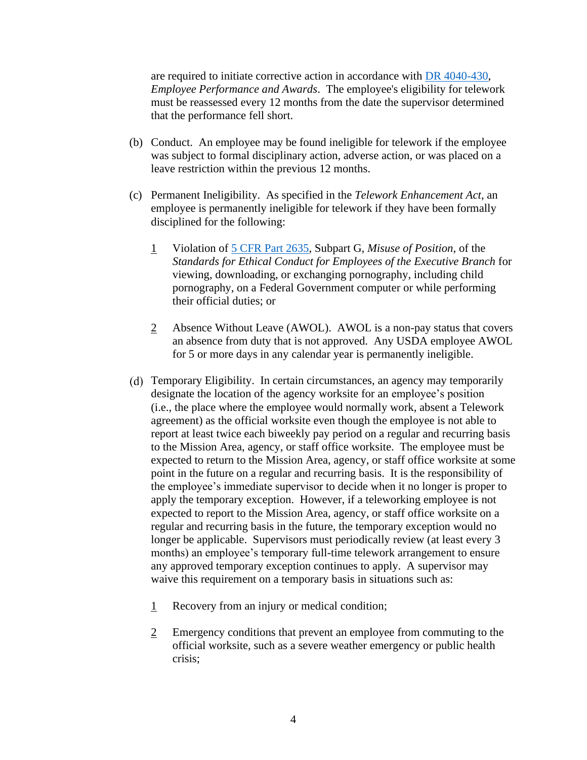are required to initiate corrective action in accordance with [DR 4040-430,](https://www.usda.gov/directives/dr-4040-430) *Employee Performance and Awards*. The employee's eligibility for telework must be reassessed every 12 months from the date the supervisor determined that the performance fell short.

- (b) Conduct. An employee may be found ineligible for telework if the employee was subject to formal disciplinary action, adverse action, or was placed on a leave restriction within the previous 12 months.
- (c) Permanent Ineligibility. As specified in the *Telework Enhancement Act*, an employee is permanently ineligible for telework if they have been formally disciplined for the following:
	- 1 Violation of 5 CFR Part [2635,](https://www.govinfo.gov/content/pkg/CFR-2021-title5-vol3/pdf/CFR-2021-title5-vol3-part2635.pdf) Subpart G, *Misuse of Position*, of the *Standards for Ethical Conduct for Employees of the Executive Branch* for viewing, downloading, or exchanging pornography, including child pornography, on a Federal Government computer or while performing their official duties; or
	- 2 Absence Without Leave (AWOL). AWOL is a non-pay status that covers an absence from duty that is not approved. Any USDA employee AWOL for 5 or more days in any calendar year is permanently ineligible.
- Temporary Eligibility. In certain circumstances, an agency may temporarily designate the location of the agency worksite for an employee's position (i.e., the place where the employee would normally work, absent a Telework agreement) as the official worksite even though the employee is not able to report at least twice each biweekly pay period on a regular and recurring basis to the Mission Area, agency, or staff office worksite. The employee must be expected to return to the Mission Area, agency, or staff office worksite at some point in the future on a regular and recurring basis. It is the responsibility of the employee's immediate supervisor to decide when it no longer is proper to apply the temporary exception. However, if a teleworking employee is not expected to report to the Mission Area, agency, or staff office worksite on a regular and recurring basis in the future, the temporary exception would no longer be applicable. Supervisors must periodically review (at least every 3 months) an employee's temporary full-time telework arrangement to ensure any approved temporary exception continues to apply. A supervisor may waive this requirement on a temporary basis in situations such as:
	- 1 Recovery from an injury or medical condition;
	- 2 Emergency conditions that prevent an employee from commuting to the official worksite, such as a severe weather emergency or public health crisis;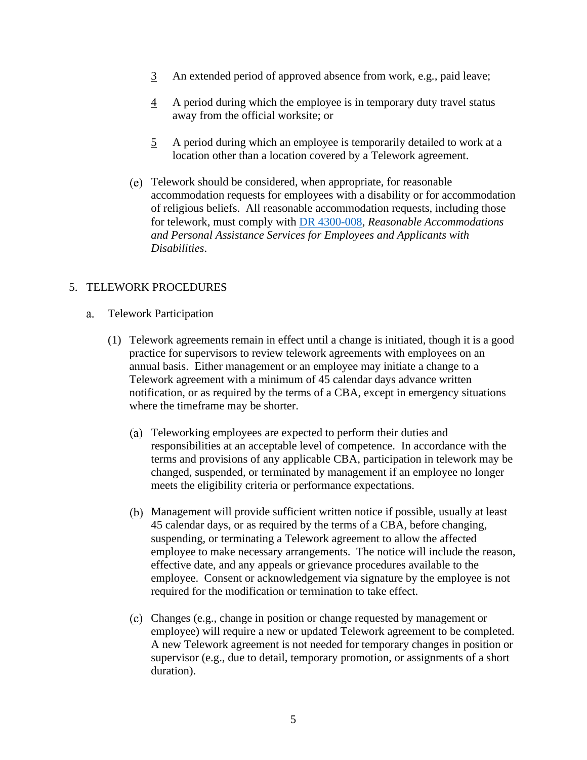- 3 An extended period of approved absence from work, e.g*.,* paid leave;
- 4 A period during which the employee is in temporary duty travel status away from the official worksite; or
- 5 A period during which an employee is temporarily detailed to work at a location other than a location covered by a Telework agreement.
- Telework should be considered, when appropriate, for reasonable accommodation requests for employees with a disability or for accommodation of religious beliefs. All reasonable accommodation requests, including those for telework, must comply with [DR 4300-008,](https://www.usda.gov/directives/dr-4300-008) *Reasonable Accommodations and Personal Assistance Services for Employees and Applicants with Disabilities*.

### 5. TELEWORK PROCEDURES

- Telework Participation a.
	- (1) Telework agreements remain in effect until a change is initiated, though it is a good practice for supervisors to review telework agreements with employees on an annual basis. Either management or an employee may initiate a change to a Telework agreement with a minimum of 45 calendar days advance written notification, or as required by the terms of a CBA, except in emergency situations where the timeframe may be shorter.
		- Teleworking employees are expected to perform their duties and responsibilities at an acceptable level of competence. In accordance with the terms and provisions of any applicable CBA, participation in telework may be changed, suspended, or terminated by management if an employee no longer meets the eligibility criteria or performance expectations.
		- Management will provide sufficient written notice if possible, usually at least 45 calendar days, or as required by the terms of a CBA, before changing, suspending, or terminating a Telework agreement to allow the affected employee to make necessary arrangements. The notice will include the reason, effective date, and any appeals or grievance procedures available to the employee. Consent or acknowledgement via signature by the employee is not required for the modification or termination to take effect.
		- Changes (e.g., change in position or change requested by management or employee) will require a new or updated Telework agreement to be completed. A new Telework agreement is not needed for temporary changes in position or supervisor (e.g., due to detail, temporary promotion, or assignments of a short duration).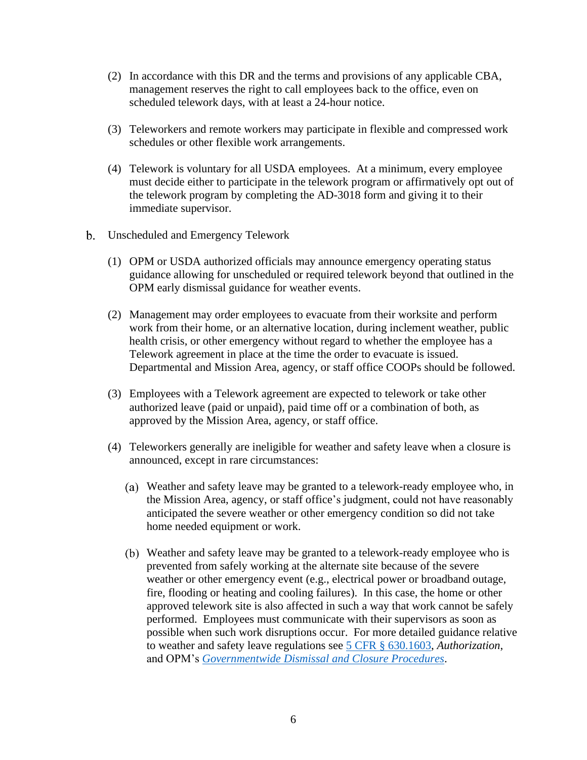- (2) In accordance with this DR and the terms and provisions of any applicable CBA, management reserves the right to call employees back to the office, even on scheduled telework days, with at least a 24-hour notice.
- (3) Teleworkers and remote workers may participate in flexible and compressed work schedules or other flexible work arrangements.
- (4) Telework is voluntary for all USDA employees. At a minimum, every employee must decide either to participate in the telework program or affirmatively opt out of the telework program by completing the AD-3018 form and giving it to their immediate supervisor.
- b. Unscheduled and Emergency Telework
	- (1) OPM or USDA authorized officials may announce emergency operating status guidance allowing for unscheduled or required telework beyond that outlined in the OPM early dismissal guidance for weather events.
	- (2) Management may order employees to evacuate from their worksite and perform work from their home, or an alternative location, during inclement weather, public health crisis, or other emergency without regard to whether the employee has a Telework agreement in place at the time the order to evacuate is issued. Departmental and Mission Area, agency, or staff office COOPs should be followed.
	- (3) Employees with a Telework agreement are expected to telework or take other authorized leave (paid or unpaid), paid time off or a combination of both, as approved by the Mission Area, agency, or staff office.
	- (4) Teleworkers generally are ineligible for weather and safety leave when a closure is announced, except in rare circumstances:
		- Weather and safety leave may be granted to a telework-ready employee who, in the Mission Area, agency, or staff office's judgment, could not have reasonably anticipated the severe weather or other emergency condition so did not take home needed equipment or work.
		- Weather and safety leave may be granted to a telework-ready employee who is prevented from safely working at the alternate site because of the severe weather or other emergency event (e.g., electrical power or broadband outage, fire, flooding or heating and cooling failures). In this case, the home or other approved telework site is also affected in such a way that work cannot be safely performed. Employees must communicate with their supervisors as soon as possible when such work disruptions occur. For more detailed guidance relative to weather and safety leave regulations see [5 CFR § 630.1603,](https://www.govinfo.gov/content/pkg/CFR-2021-title5-vol1/pdf/CFR-2021-title5-vol1-sec630-1603.pdf) *Authorization*, and OPM's *[Governmentwide Dismissal and Closure Procedures](https://www.opm.gov/policy-data-oversight/pay-leave/reference-materials/handbooks/dcdismissal.pdf)*.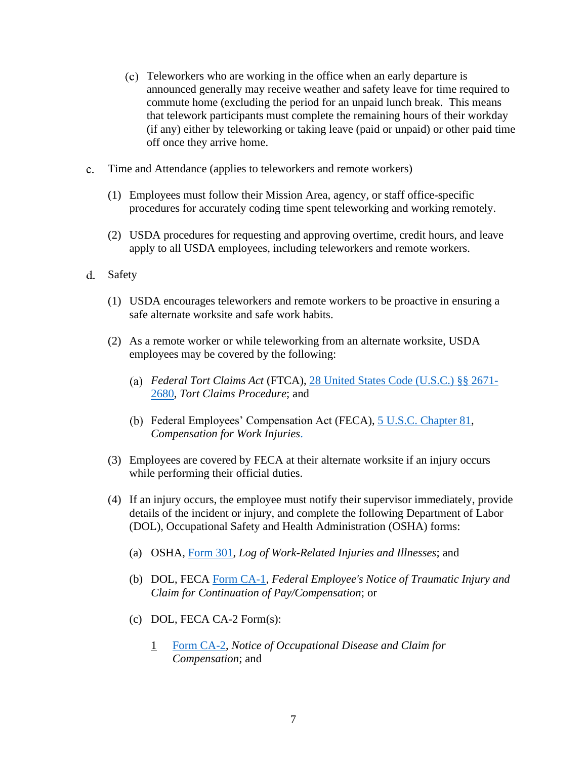- Teleworkers who are working in the office when an early departure is announced generally may receive weather and safety leave for time required to commute home (excluding the period for an unpaid lunch break. This means that telework participants must complete the remaining hours of their workday (if any) either by teleworking or taking leave (paid or unpaid) or other paid time off once they arrive home.
- Time and Attendance (applies to teleworkers and remote workers)
	- (1) Employees must follow their Mission Area, agency, or staff office-specific procedures for accurately coding time spent teleworking and working remotely.
	- (2) USDA procedures for requesting and approving overtime, credit hours, and leave apply to all USDA employees, including teleworkers and remote workers.
- Safety
	- (1) USDA encourages teleworkers and remote workers to be proactive in ensuring a safe alternate worksite and safe work habits.
	- (2) As a remote worker or while teleworking from an alternate worksite, USDA employees may be covered by the following:
		- *Federal Tort Claims Act* (FTCA), [28 United States Code \(U.S.C.\) §§ 2671-](https://www.govinfo.gov/content/pkg/USCODE-2019-title28/pdf/USCODE-2019-title28-partVI-chap171.pdf) [2680,](https://www.govinfo.gov/content/pkg/USCODE-2019-title28/pdf/USCODE-2019-title28-partVI-chap171.pdf) *Tort Claims Procedure*; and
		- Federal Employees' Compensation Act (FECA), [5 U.S.C. Chapter 81,](https://www.govinfo.gov/content/pkg/USCODE-2019-title5/pdf/USCODE-2019-title5-partIII-subpartG-chap81.pdf) *Compensation for Work Injuries*.
	- (3) Employees are covered by FECA at their alternate worksite if an injury occurs while performing their official duties.
	- (4) If an injury occurs, the employee must notify their supervisor immediately, provide details of the incident or injury, and complete the following Department of Labor (DOL), Occupational Safety and Health Administration (OSHA) forms:
		- (a) OSHA, [Form 301,](https://www.osha.gov/sites/default/files/OSHA-RK-Forms-Package.pdf) *Log of Work-Related Injuries and Illnesses*; and
		- (b) DOL, FECA [Form CA-1,](https://www.dol.gov/sites/dolgov/files/owcp/regs/compliance/ca-1.pdf) *Federal Employee's Notice of Traumatic Injury and Claim for Continuation of Pay/Compensation*; or
		- (c) DOL, FECA CA-2 Form(s):
			- 1 [Form CA-2,](https://www.dol.gov/sites/dolgov/files/owcp/regs/compliance/ca-2.pdf) *Notice of Occupational Disease and Claim for Compensation*; and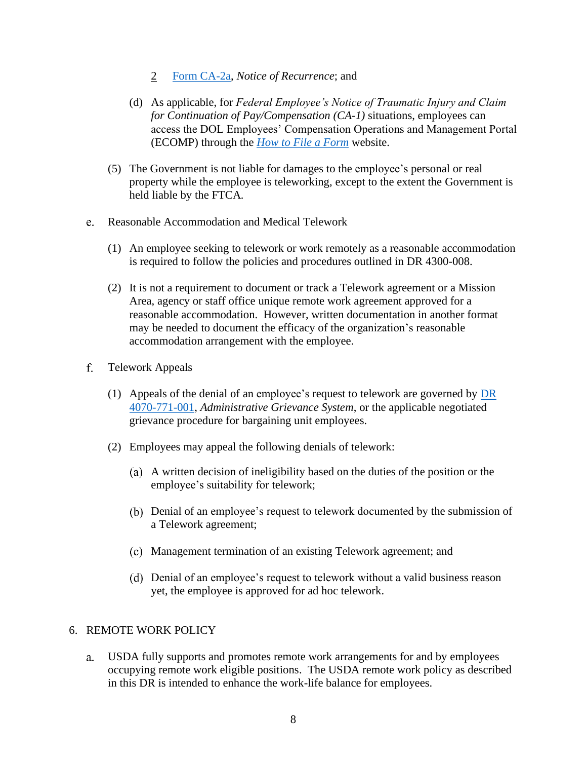- 2 [Form CA-2a,](https://www.dol.gov/sites/dolgov/files/owcp/regs/compliance/ca-2a.pdf) *Notice of Recurrence*; and
- (d) As applicable, for *Federal Employee's Notice of Traumatic Injury and Claim for Continuation of Pay/Compensation (CA-1)* situations, employees can access the DOL Employees' Compensation Operations and Management Portal (ECOMP) through the *[How to File a Form](https://www.ecomp.dol.gov/content/help/HowToFile.html)* website.
- (5) The Government is not liable for damages to the employee's personal or real property while the employee is teleworking, except to the extent the Government is held liable by the FTCA*.*
- Reasonable Accommodation and Medical Telework
	- (1) An employee seeking to telework or work remotely as a reasonable accommodation is required to follow the policies and procedures outlined in DR 4300-008.
	- (2) It is not a requirement to document or track a Telework agreement or a Mission Area, agency or staff office unique remote work agreement approved for a reasonable accommodation. However, written documentation in another format may be needed to document the efficacy of the organization's reasonable accommodation arrangement with the employee.
- $f_{\perp}$ Telework Appeals
	- (1) Appeals of the denial of an employee's request to telework are governed by  $\overline{DR}$ [4070-771-001,](https://www.usda.gov/directives/dr-4070-771-001) *Administrative Grievance System*, or the applicable negotiated grievance procedure for bargaining unit employees.
	- (2) Employees may appeal the following denials of telework:
		- A written decision of ineligibility based on the duties of the position or the employee's suitability for telework;
		- Denial of an employee's request to telework documented by the submission of a Telework agreement;
		- Management termination of an existing Telework agreement; and
		- Denial of an employee's request to telework without a valid business reason yet, the employee is approved for ad hoc telework.

#### 6. REMOTE WORK POLICY

USDA fully supports and promotes remote work arrangements for and by employees a. occupying remote work eligible positions. The USDA remote work policy as described in this DR is intended to enhance the work-life balance for employees.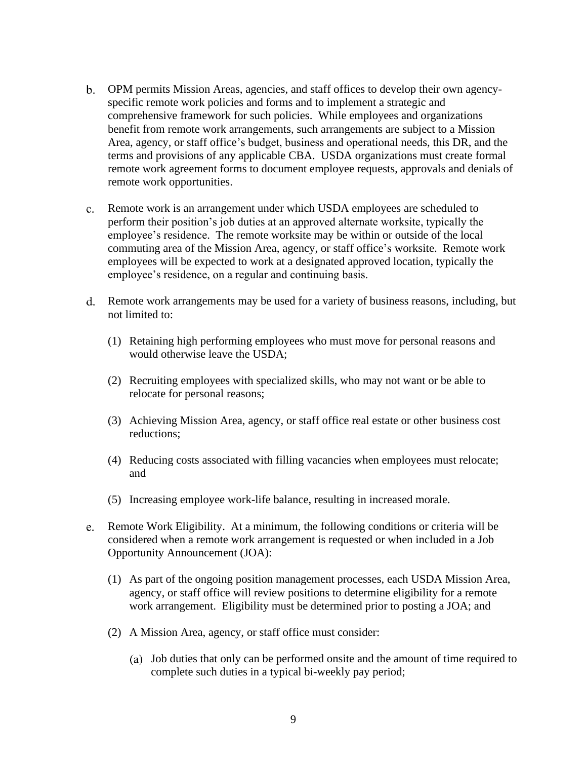- OPM permits Mission Areas, agencies, and staff offices to develop their own agencyspecific remote work policies and forms and to implement a strategic and comprehensive framework for such policies. While employees and organizations benefit from remote work arrangements, such arrangements are subject to a Mission Area, agency, or staff office's budget, business and operational needs, this DR, and the terms and provisions of any applicable CBA. USDA organizations must create formal remote work agreement forms to document employee requests, approvals and denials of remote work opportunities.
- Remote work is an arrangement under which USDA employees are scheduled to perform their position's job duties at an approved alternate worksite, typically the employee's residence. The remote worksite may be within or outside of the local commuting area of the Mission Area, agency, or staff office's worksite. Remote work employees will be expected to work at a designated approved location, typically the employee's residence, on a regular and continuing basis.
- Remote work arrangements may be used for a variety of business reasons, including, but not limited to:
	- (1) Retaining high performing employees who must move for personal reasons and would otherwise leave the USDA;
	- (2) Recruiting employees with specialized skills, who may not want or be able to relocate for personal reasons;
	- (3) Achieving Mission Area, agency, or staff office real estate or other business cost reductions;
	- (4) Reducing costs associated with filling vacancies when employees must relocate; and
	- (5) Increasing employee work-life balance, resulting in increased morale.
- Remote Work Eligibility. At a minimum, the following conditions or criteria will be considered when a remote work arrangement is requested or when included in a Job Opportunity Announcement (JOA):
	- (1) As part of the ongoing position management processes, each USDA Mission Area, agency, or staff office will review positions to determine eligibility for a remote work arrangement. Eligibility must be determined prior to posting a JOA; and
	- (2) A Mission Area, agency, or staff office must consider:
		- Job duties that only can be performed onsite and the amount of time required to complete such duties in a typical bi-weekly pay period;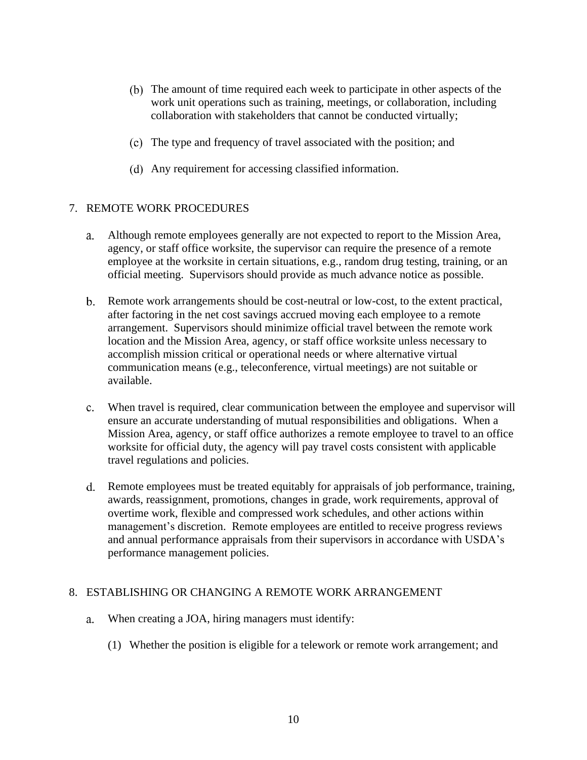- (b) The amount of time required each week to participate in other aspects of the work unit operations such as training, meetings, or collaboration, including collaboration with stakeholders that cannot be conducted virtually;
- The type and frequency of travel associated with the position; and
- Any requirement for accessing classified information.

### 7. REMOTE WORK PROCEDURES

- Although remote employees generally are not expected to report to the Mission Area, a. agency, or staff office worksite, the supervisor can require the presence of a remote employee at the worksite in certain situations, e.g., random drug testing, training, or an official meeting. Supervisors should provide as much advance notice as possible.
- Remote work arrangements should be cost-neutral or low-cost, to the extent practical, after factoring in the net cost savings accrued moving each employee to a remote arrangement. Supervisors should minimize official travel between the remote work location and the Mission Area, agency, or staff office worksite unless necessary to accomplish mission critical or operational needs or where alternative virtual communication means (e.g., teleconference, virtual meetings) are not suitable or available.
- When travel is required, clear communication between the employee and supervisor will ensure an accurate understanding of mutual responsibilities and obligations. When a Mission Area, agency, or staff office authorizes a remote employee to travel to an office worksite for official duty, the agency will pay travel costs consistent with applicable travel regulations and policies.
- Remote employees must be treated equitably for appraisals of job performance, training, awards, reassignment, promotions, changes in grade, work requirements, approval of overtime work, flexible and compressed work schedules, and other actions within management's discretion. Remote employees are entitled to receive progress reviews and annual performance appraisals from their supervisors in accordance with USDA's performance management policies.

#### 8. ESTABLISHING OR CHANGING A REMOTE WORK ARRANGEMENT

- When creating a JOA, hiring managers must identify:
	- (1) Whether the position is eligible for a telework or remote work arrangement; and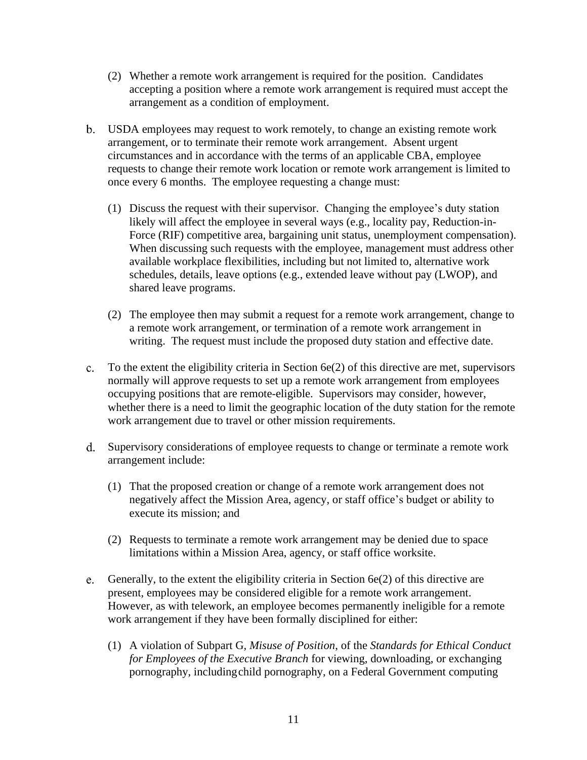- (2) Whether a remote work arrangement is required for the position. Candidates accepting a position where a remote work arrangement is required must accept the arrangement as a condition of employment.
- USDA employees may request to work remotely, to change an existing remote work arrangement, or to terminate their remote work arrangement. Absent urgent circumstances and in accordance with the terms of an applicable CBA, employee requests to change their remote work location or remote work arrangement is limited to once every 6 months. The employee requesting a change must:
	- (1) Discuss the request with their supervisor. Changing the employee's duty station likely will affect the employee in several ways (e.g., locality pay, Reduction-in-Force (RIF) competitive area, bargaining unit status, unemployment compensation). When discussing such requests with the employee, management must address other available workplace flexibilities, including but not limited to, alternative work schedules, details, leave options (e.g., extended leave without pay (LWOP), and shared leave programs.
	- (2) The employee then may submit a request for a remote work arrangement, change to a remote work arrangement, or termination of a remote work arrangement in writing. The request must include the proposed duty station and effective date.
- c. To the extent the eligibility criteria in Section  $6e(2)$  of this directive are met, supervisors normally will approve requests to set up a remote work arrangement from employees occupying positions that are remote-eligible. Supervisors may consider, however, whether there is a need to limit the geographic location of the duty station for the remote work arrangement due to travel or other mission requirements.
- Supervisory considerations of employee requests to change or terminate a remote work arrangement include:
	- (1) That the proposed creation or change of a remote work arrangement does not negatively affect the Mission Area, agency, or staff office's budget or ability to execute its mission; and
	- (2) Requests to terminate a remote work arrangement may be denied due to space limitations within a Mission Area, agency, or staff office worksite.
- Generally, to the extent the eligibility criteria in Section 6e(2) of this directive are e. present, employees may be considered eligible for a remote work arrangement. However, as with telework, an employee becomes permanently ineligible for a remote work arrangement if they have been formally disciplined for either:
	- (1) A violation of Subpart G, *Misuse of Position*, of the *Standards for Ethical Conduct for Employees of the Executive Branch* for viewing, downloading, or exchanging pornography, including child pornography, on a Federal Government computing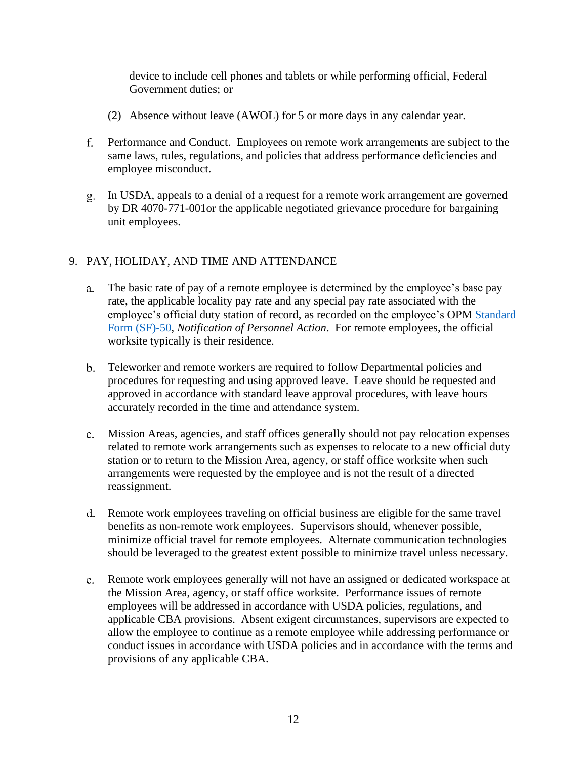device to include cell phones and tablets or while performing official, Federal Government duties; or

- (2) Absence without leave (AWOL) for 5 or more days in any calendar year.
- Performance and Conduct. Employees on remote work arrangements are subject to the same laws, rules, regulations, and policies that address performance deficiencies and employee misconduct.
- In USDA, appeals to a denial of a request for a remote work arrangement are governed by DR 4070-771-001or the applicable negotiated grievance procedure for bargaining unit employees.

### 9. PAY, HOLIDAY, AND TIME AND ATTENDANCE

- The basic rate of pay of a remote employee is determined by the employee's base pay a. rate, the applicable locality pay rate and any special pay rate associated with the employee's official duty station of record, as recorded on the employee's OPM [Standard](https://www.opm.gov/forms/pdfimage/sf50.pdf)  [Form \(SF\)-50,](https://www.opm.gov/forms/pdfimage/sf50.pdf) *Notification of Personnel Action*. For remote employees, the official worksite typically is their residence.
- Teleworker and remote workers are required to follow Departmental policies and procedures for requesting and using approved leave. Leave should be requested and approved in accordance with standard leave approval procedures, with leave hours accurately recorded in the time and attendance system.
- Mission Areas, agencies, and staff offices generally should not pay relocation expenses related to remote work arrangements such as expenses to relocate to a new official duty station or to return to the Mission Area, agency, or staff office worksite when such arrangements were requested by the employee and is not the result of a directed reassignment.
- Remote work employees traveling on official business are eligible for the same travel benefits as non-remote work employees. Supervisors should, whenever possible, minimize official travel for remote employees. Alternate communication technologies should be leveraged to the greatest extent possible to minimize travel unless necessary.
- Remote work employees generally will not have an assigned or dedicated workspace at the Mission Area, agency, or staff office worksite. Performance issues of remote employees will be addressed in accordance with USDA policies, regulations, and applicable CBA provisions. Absent exigent circumstances, supervisors are expected to allow the employee to continue as a remote employee while addressing performance or conduct issues in accordance with USDA policies and in accordance with the terms and provisions of any applicable CBA.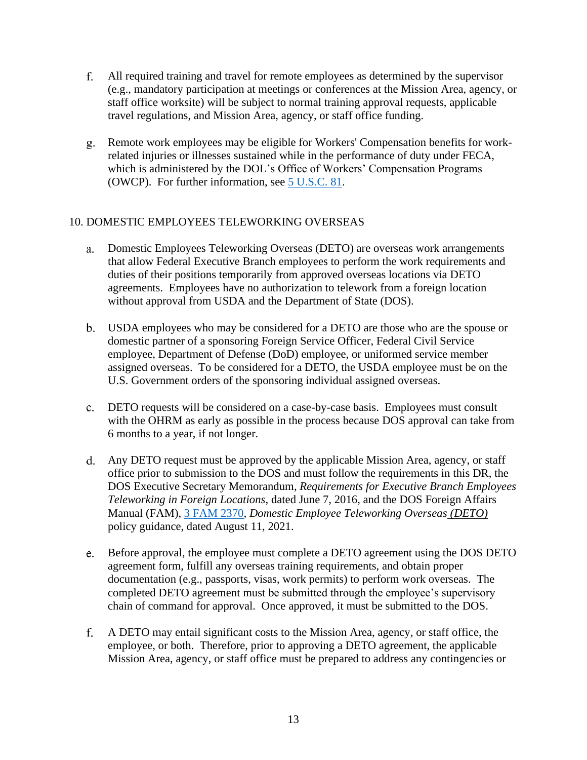- $f_{\rm{r}}$ All required training and travel for remote employees as determined by the supervisor (e.g., mandatory participation at meetings or conferences at the Mission Area, agency, or staff office worksite) will be subject to normal training approval requests, applicable travel regulations, and Mission Area, agency, or staff office funding.
- Remote work employees may be eligible for Workers' Compensation benefits for workrelated injuries or illnesses sustained while in the performance of duty under FECA, which is administered by the DOL's Office of Workers' Compensation Programs (OWCP). For further information, see 5 U.S.C. 81.

## 10. DOMESTIC EMPLOYEES TELEWORKING OVERSEAS

- Domestic Employees Teleworking Overseas (DETO) are overseas work arrangements that allow Federal Executive Branch employees to perform the work requirements and duties of their positions temporarily from approved overseas locations via DETO agreements. Employees have no authorization to telework from a foreign location without approval from USDA and the Department of State (DOS).
- USDA employees who may be considered for a DETO are those who are the spouse or domestic partner of a sponsoring Foreign Service Officer, Federal Civil Service employee, Department of Defense (DoD) employee, or uniformed service member assigned overseas. To be considered for a DETO, the USDA employee must be on the U.S. Government orders of the sponsoring individual assigned overseas.
- DETO requests will be considered on a case-by-case basis. Employees must consult with the OHRM as early as possible in the process because DOS approval can take from 6 months to a year, if not longer.
- Any DETO request must be approved by the applicable Mission Area, agency, or staff office prior to submission to the DOS and must follow the requirements in this DR, the DOS Executive Secretary Memorandum, *Requirements for Executive Branch Employees Teleworking in Foreign Locations*, dated June 7, 2016, and the DOS Foreign Affairs Manual (FAM), [3 FAM 2370,](https://fam.state.gov/FAM/03FAM/03FAM2370.html) *Domestic Employee Teleworking Overseas (DETO)* policy guidance, dated August 11, 2021.
- Before approval, the employee must complete a DETO agreement using the DOS DETO agreement form, fulfill any overseas training requirements, and obtain proper documentation (e.g., passports, visas, work permits) to perform work overseas. The completed DETO agreement must be submitted through the employee's supervisory chain of command for approval. Once approved, it must be submitted to the DOS.
- A DETO may entail significant costs to the Mission Area, agency, or staff office, the employee, or both. Therefore, prior to approving a DETO agreement, the applicable Mission Area, agency, or staff office must be prepared to address any contingencies or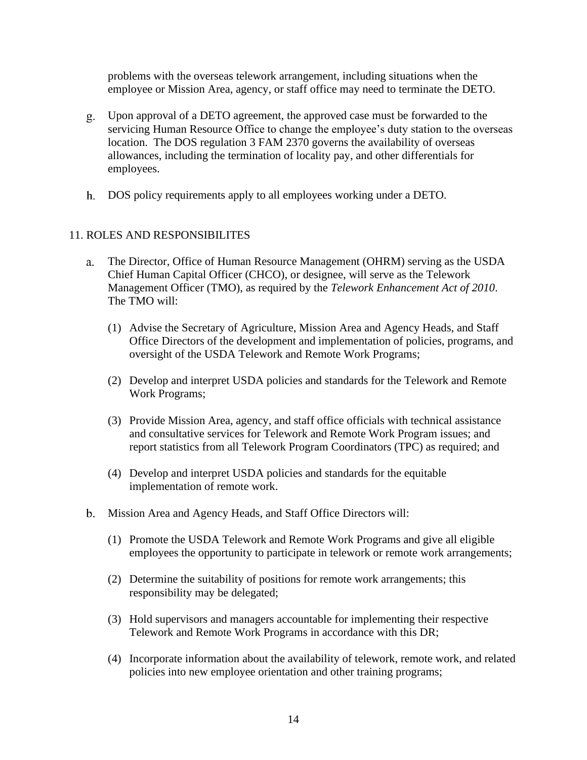problems with the overseas telework arrangement, including situations when the employee or Mission Area, agency, or staff office may need to terminate the DETO.

- Upon approval of a DETO agreement, the approved case must be forwarded to the servicing Human Resource Office to change the employee's duty station to the overseas location. The DOS regulation 3 FAM 2370 governs the availability of overseas allowances, including the termination of locality pay, and other differentials for employees.
- DOS policy requirements apply to all employees working under a DETO.

### 11. ROLES AND RESPONSIBILITES

- The Director, Office of Human Resource Management (OHRM) serving as the USDA a. Chief Human Capital Officer (CHCO), or designee, will serve as the Telework Management Officer (TMO), as required by the *Telework Enhancement Act of 2010*. The TMO will:
	- (1) Advise the Secretary of Agriculture, Mission Area and Agency Heads, and Staff Office Directors of the development and implementation of policies, programs, and oversight of the USDA Telework and Remote Work Programs;
	- (2) Develop and interpret USDA policies and standards for the Telework and Remote Work Programs;
	- (3) Provide Mission Area, agency, and staff office officials with technical assistance and consultative services for Telework and Remote Work Program issues; and report statistics from all Telework Program Coordinators (TPC) as required; and
	- (4) Develop and interpret USDA policies and standards for the equitable implementation of remote work.
- b. Mission Area and Agency Heads, and Staff Office Directors will:
	- (1) Promote the USDA Telework and Remote Work Programs and give all eligible employees the opportunity to participate in telework or remote work arrangements;
	- (2) Determine the suitability of positions for remote work arrangements; this responsibility may be delegated;
	- (3) Hold supervisors and managers accountable for implementing their respective Telework and Remote Work Programs in accordance with this DR;
	- (4) Incorporate information about the availability of telework, remote work, and related policies into new employee orientation and other training programs;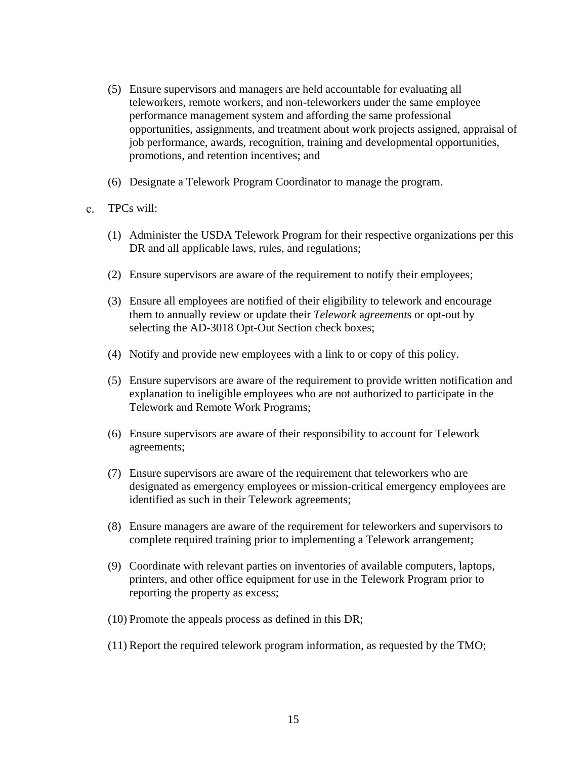- (5) Ensure supervisors and managers are held accountable for evaluating all teleworkers, remote workers, and non-teleworkers under the same employee performance management system and affording the same professional opportunities, assignments, and treatment about work projects assigned, appraisal of job performance, awards, recognition, training and developmental opportunities, promotions, and retention incentives; and
- (6) Designate a Telework Program Coordinator to manage the program.
- TPCs will:  $\mathbf{c}$ .
	- (1) Administer the USDA Telework Program for their respective organizations per this DR and all applicable laws, rules, and regulations;
	- (2) Ensure supervisors are aware of the requirement to notify their employees;
	- (3) Ensure all employees are notified of their eligibility to telework and encourage them to annually review or update their *Telework* a*greement*s or opt-out by selecting the AD-3018 Opt-Out Section check boxes;
	- (4) Notify and provide new employees with a link to or copy of this policy.
	- (5) Ensure supervisors are aware of the requirement to provide written notification and explanation to ineligible employees who are not authorized to participate in the Telework and Remote Work Programs;
	- (6) Ensure supervisors are aware of their responsibility to account for Telework agreements;
	- (7) Ensure supervisors are aware of the requirement that teleworkers who are designated as emergency employees or mission-critical emergency employees are identified as such in their Telework agreements;
	- (8) Ensure managers are aware of the requirement for teleworkers and supervisors to complete required training prior to implementing a Telework arrangement;
	- (9) Coordinate with relevant parties on inventories of available computers, laptops, printers, and other office equipment for use in the Telework Program prior to reporting the property as excess;
	- (10) Promote the appeals process as defined in this DR;
	- (11) Report the required telework program information, as requested by the TMO;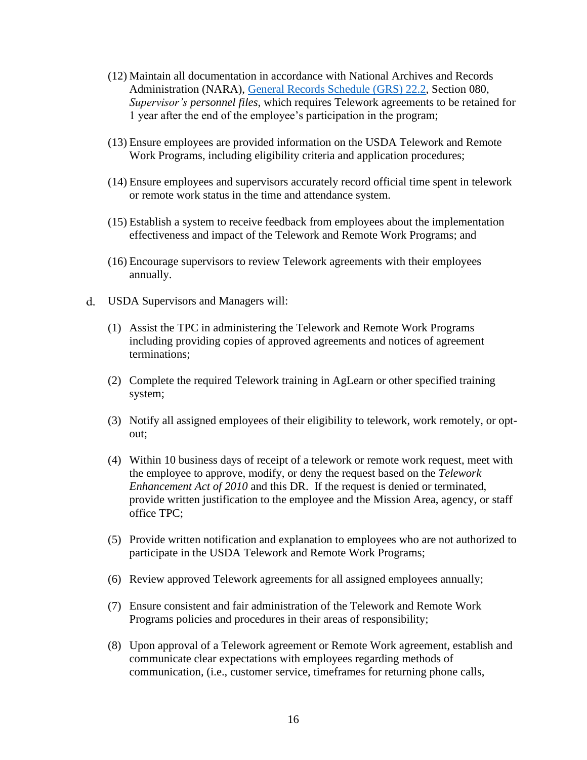- (12) Maintain all documentation in accordance with National Archives and Records Administration (NARA), [General Records](https://www.archives.gov/files/records-mgmt/grs/grs02-2.pdf) Schedule (GRS) 22.2, Section 080, *Supervisor's personnel files*, which requires Telework agreements to be retained for 1 year after the end of the employee's participation in the program;
- (13) Ensure employees are provided information on the USDA Telework and Remote Work Programs, including eligibility criteria and application procedures;
- (14) Ensure employees and supervisors accurately record official time spent in telework or remote work status in the time and attendance system.
- (15) Establish a system to receive feedback from employees about the implementation effectiveness and impact of the Telework and Remote Work Programs; and
- (16) Encourage supervisors to review Telework agreements with their employees annually.
- USDA Supervisors and Managers will:
	- (1) Assist the TPC in administering the Telework and Remote Work Programs including providing copies of approved agreements and notices of agreement terminations;
	- (2) Complete the required Telework training in AgLearn or other specified training system;
	- (3) Notify all assigned employees of their eligibility to telework, work remotely, or optout;
	- (4) Within 10 business days of receipt of a telework or remote work request, meet with the employee to approve, modify, or deny the request based on the *Telework Enhancement Act of 2010* and this DR. If the request is denied or terminated, provide written justification to the employee and the Mission Area, agency, or staff office TPC;
	- (5) Provide written notification and explanation to employees who are not authorized to participate in the USDA Telework and Remote Work Programs;
	- (6) Review approved Telework agreements for all assigned employees annually;
	- (7) Ensure consistent and fair administration of the Telework and Remote Work Programs policies and procedures in their areas of responsibility;
	- (8) Upon approval of a Telework agreement or Remote Work agreement, establish and communicate clear expectations with employees regarding methods of communication, (i.e., customer service, timeframes for returning phone calls,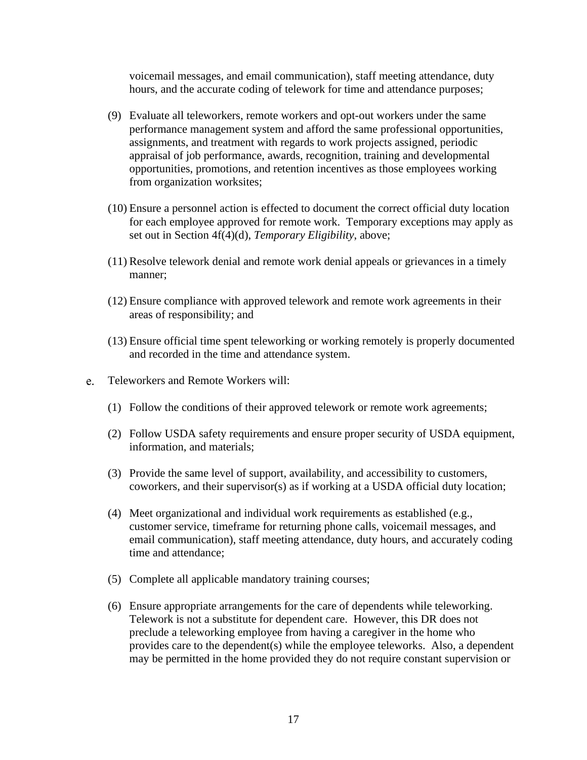voicemail messages, and email communication), staff meeting attendance, duty hours, and the accurate coding of telework for time and attendance purposes;

- (9) Evaluate all teleworkers, remote workers and opt-out workers under the same performance management system and afford the same professional opportunities, assignments, and treatment with regards to work projects assigned, periodic appraisal of job performance, awards, recognition, training and developmental opportunities, promotions, and retention incentives as those employees working from organization worksites;
- (10) Ensure a personnel action is effected to document the correct official duty location for each employee approved for remote work. Temporary exceptions may apply as set out in Section 4f(4)(d), *Temporary Eligibility*, above;
- (11) Resolve telework denial and remote work denial appeals or grievances in a timely manner;
- (12) Ensure compliance with approved telework and remote work agreements in their areas of responsibility; and
- (13) Ensure official time spent teleworking or working remotely is properly documented and recorded in the time and attendance system.
- e. Teleworkers and Remote Workers will:
	- (1) Follow the conditions of their approved telework or remote work agreements;
	- (2) Follow USDA safety requirements and ensure proper security of USDA equipment, information, and materials;
	- (3) Provide the same level of support, availability, and accessibility to customers, coworkers, and their supervisor(s) as if working at a USDA official duty location;
	- (4) Meet organizational and individual work requirements as established (e.g., customer service, timeframe for returning phone calls, voicemail messages, and email communication), staff meeting attendance, duty hours, and accurately coding time and attendance;
	- (5) Complete all applicable mandatory training courses;
	- (6) Ensure appropriate arrangements for the care of dependents while teleworking. Telework is not a substitute for dependent care. However, this DR does not preclude a teleworking employee from having a caregiver in the home who provides care to the dependent(s) while the employee teleworks. Also, a dependent may be permitted in the home provided they do not require constant supervision or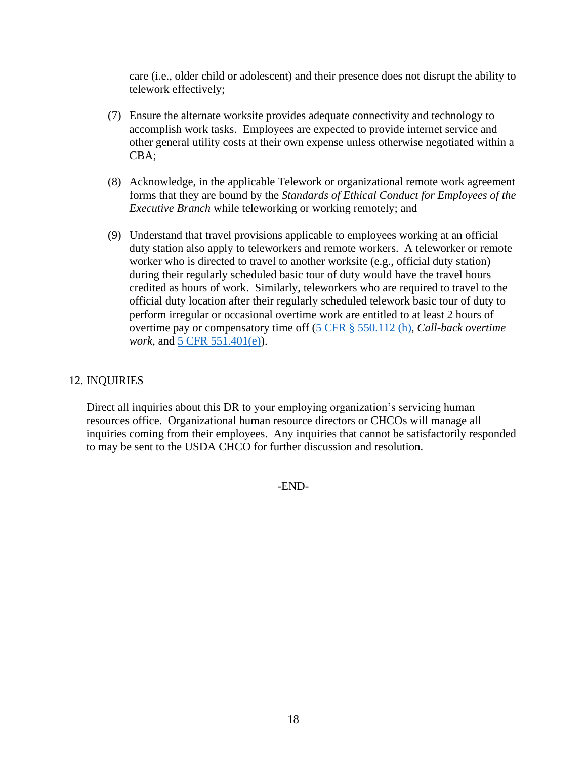care (i.e., older child or adolescent) and their presence does not disrupt the ability to telework effectively;

- (7) Ensure the alternate worksite provides adequate connectivity and technology to accomplish work tasks. Employees are expected to provide internet service and other general utility costs at their own expense unless otherwise negotiated within a CBA;
- (8) Acknowledge, in the applicable Telework or organizational remote work agreement forms that they are bound by the *Standards of Ethical Conduct for Employees of the Executive Branch* while teleworking or working remotely; and
- (9) Understand that travel provisions applicable to employees working at an official duty station also apply to teleworkers and remote workers. A teleworker or remote worker who is directed to travel to another worksite (e.g., official duty station) during their regularly scheduled basic tour of duty would have the travel hours credited as hours of work. Similarly, teleworkers who are required to travel to the official duty location after their regularly scheduled telework basic tour of duty to perform irregular or occasional overtime work are entitled to at least 2 hours of overtime pay or compensatory time off [\(5 CFR § 550.112 \(h\),](https://www.govinfo.gov/content/pkg/CFR-2021-title5-vol1/pdf/CFR-2021-title5-vol1-sec550-112.pdf) *Call-back overtime work*, and [5 CFR 551.401\(e\)\)](https://www.govinfo.gov/content/pkg/CFR-2021-title5-vol1/pdf/CFR-2021-title5-vol1-sec551-401.pdf).

### 12. INQUIRIES

Direct all inquiries about this DR to your employing organization's servicing human resources office. Organizational human resource directors or CHCOs will manage all inquiries coming from their employees. Any inquiries that cannot be satisfactorily responded to may be sent to the USDA CHCO for further discussion and resolution.

-END-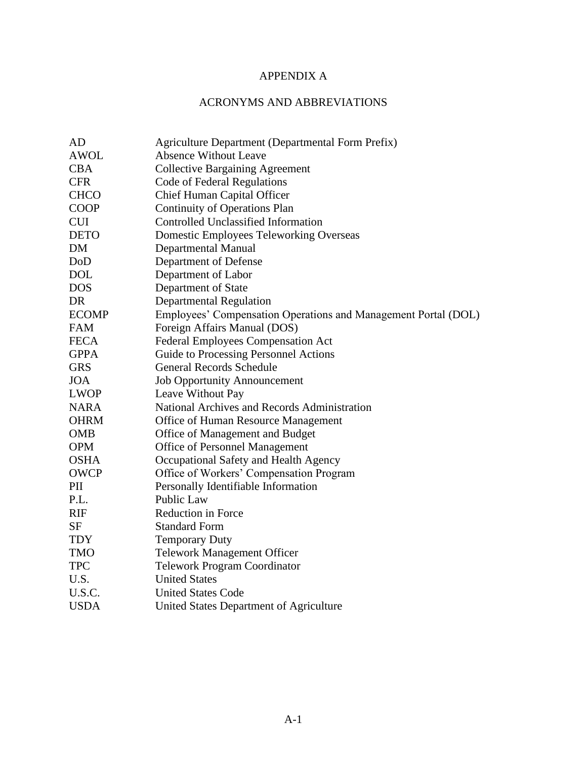# APPENDIX A

# ACRONYMS AND ABBREVIATIONS

| AD           | <b>Agriculture Department (Departmental Form Prefix)</b>       |
|--------------|----------------------------------------------------------------|
| <b>AWOL</b>  | <b>Absence Without Leave</b>                                   |
| <b>CBA</b>   | <b>Collective Bargaining Agreement</b>                         |
| <b>CFR</b>   | Code of Federal Regulations                                    |
| <b>CHCO</b>  | <b>Chief Human Capital Officer</b>                             |
| <b>COOP</b>  | <b>Continuity of Operations Plan</b>                           |
| <b>CUI</b>   | <b>Controlled Unclassified Information</b>                     |
| <b>DETO</b>  | <b>Domestic Employees Teleworking Overseas</b>                 |
| DM           | <b>Departmental Manual</b>                                     |
| DoD          | Department of Defense                                          |
| <b>DOL</b>   | Department of Labor                                            |
| <b>DOS</b>   | Department of State                                            |
| DR           | <b>Departmental Regulation</b>                                 |
| <b>ECOMP</b> | Employees' Compensation Operations and Management Portal (DOL) |
| <b>FAM</b>   | Foreign Affairs Manual (DOS)                                   |
| <b>FECA</b>  | Federal Employees Compensation Act                             |
| <b>GPPA</b>  | Guide to Processing Personnel Actions                          |
| <b>GRS</b>   | <b>General Records Schedule</b>                                |
| <b>JOA</b>   | <b>Job Opportunity Announcement</b>                            |
| <b>LWOP</b>  | Leave Without Pay                                              |
| <b>NARA</b>  | National Archives and Records Administration                   |
| <b>OHRM</b>  | Office of Human Resource Management                            |
| <b>OMB</b>   | Office of Management and Budget                                |
| <b>OPM</b>   | Office of Personnel Management                                 |
| <b>OSHA</b>  | Occupational Safety and Health Agency                          |
| <b>OWCP</b>  | Office of Workers' Compensation Program                        |
| PII          | Personally Identifiable Information                            |
| P.L.         | Public Law                                                     |
| <b>RIF</b>   | Reduction in Force                                             |
| <b>SF</b>    | <b>Standard Form</b>                                           |
| <b>TDY</b>   | <b>Temporary Duty</b>                                          |
| <b>TMO</b>   | <b>Telework Management Officer</b>                             |
| <b>TPC</b>   | <b>Telework Program Coordinator</b>                            |
| U.S.         | <b>United States</b>                                           |
| U.S.C.       | <b>United States Code</b>                                      |
| <b>USDA</b>  | United States Department of Agriculture                        |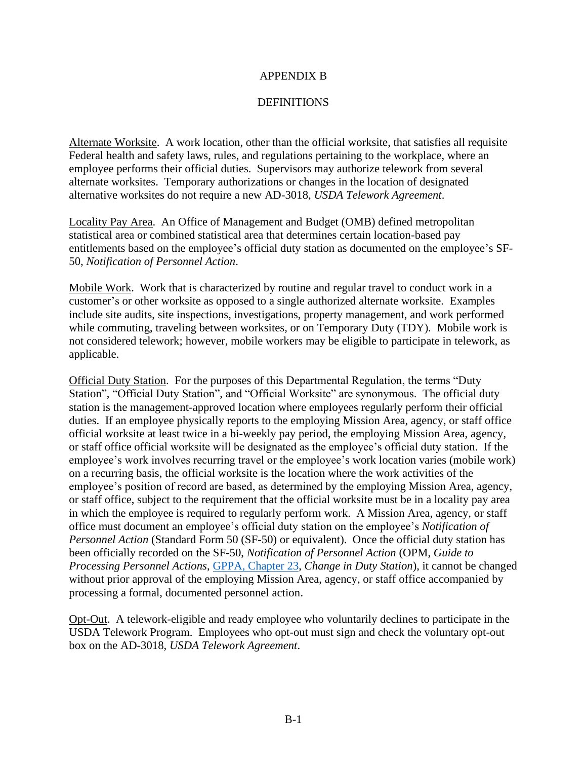### APPENDIX B

#### **DEFINITIONS**

Alternate Worksite. A work location, other than the official worksite, that satisfies all requisite Federal health and safety laws, rules, and regulations pertaining to the workplace, where an employee performs their official duties. Supervisors may authorize telework from several alternate worksites. Temporary authorizations or changes in the location of designated alternative worksites do not require a new AD-3018, *USDA Telework Agreement*.

Locality Pay Area. An Office of Management and Budget (OMB) defined metropolitan statistical area or combined statistical area that determines certain location-based pay entitlements based on the employee's official duty station as documented on the employee's SF-50, *Notification of Personnel Action*.

Mobile Work. Work that is characterized by routine and regular travel to conduct work in a customer's or other worksite as opposed to a single authorized alternate worksite. Examples include site audits, site inspections, investigations, property management, and work performed while commuting, traveling between worksites, or on Temporary Duty (TDY). Mobile work is not considered telework; however, mobile workers may be eligible to participate in telework, as applicable.

Official Duty Station. For the purposes of this Departmental Regulation, the terms "Duty Station", "Official Duty Station", and "Official Worksite" are synonymous. The official duty station is the management-approved location where employees regularly perform their official duties. If an employee physically reports to the employing Mission Area, agency, or staff office official worksite at least twice in a bi-weekly pay period, the employing Mission Area, agency, or staff office official worksite will be designated as the employee's official duty station. If the employee's work involves recurring travel or the employee's work location varies (mobile work) on a recurring basis, the official worksite is the location where the work activities of the employee's position of record are based, as determined by the employing Mission Area, agency, or staff office, subject to the requirement that the official worksite must be in a locality pay area in which the employee is required to regularly perform work. A Mission Area, agency, or staff office must document an employee's official duty station on the employee's *Notification of Personnel Action* (Standard Form 50 (SF-50) or equivalent). Once the official duty station has been officially recorded on the SF-50, *Notification of Personnel Action* (OPM, *Guide to Processing Personnel Actions*, [GPPA, Chapter 23,](https://www.opm.gov/policy-data-oversight/data-analysis-documentation/personnel-documentation/processing-personnel-actions/gppa23.pdf) *Change in Duty Station*), it cannot be changed without prior approval of the employing Mission Area, agency, or staff office accompanied by processing a formal, documented personnel action.

Opt-Out. A telework-eligible and ready employee who voluntarily declines to participate in the USDA Telework Program. Employees who opt-out must sign and check the voluntary opt-out box on the AD-3018, *USDA Telework Agreement*.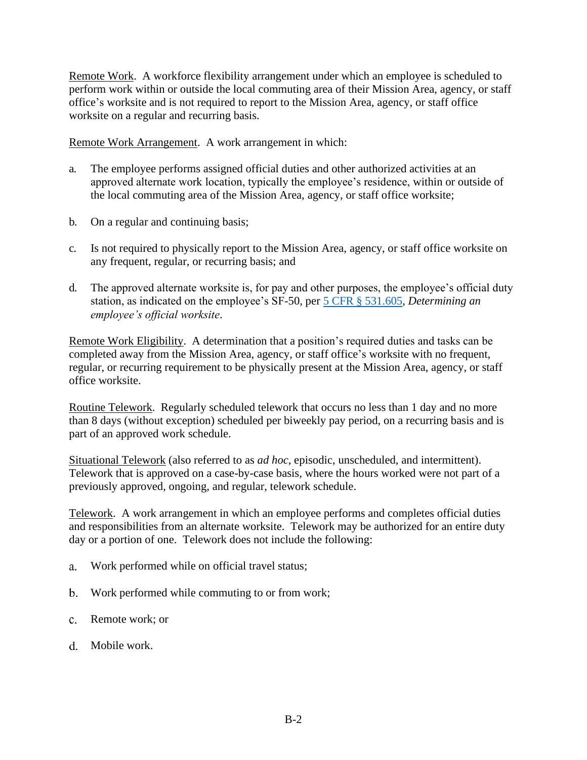Remote Work. A workforce flexibility arrangement under which an employee is scheduled to perform work within or outside the local commuting area of their Mission Area, agency, or staff office's worksite and is not required to report to the Mission Area, agency, or staff office worksite on a regular and recurring basis.

Remote Work Arrangement. A work arrangement in which:

- a. The employee performs assigned official duties and other authorized activities at an approved alternate work location, typically the employee's residence, within or outside of the local commuting area of the Mission Area, agency, or staff office worksite;
- b. On a regular and continuing basis;
- c. Is not required to physically report to the Mission Area, agency, or staff office worksite on any frequent, regular, or recurring basis; and
- d. The approved alternate worksite is, for pay and other purposes, the employee's official duty station, as indicated on the employee's SF-50, per 5 CFR [§ 531.605,](https://www.govinfo.gov/content/pkg/CFR-2021-title5-vol1/pdf/CFR-2021-title5-vol1-sec531-605.pdf) *Determining an employee's official worksite*.

Remote Work Eligibility. A determination that a position's required duties and tasks can be completed away from the Mission Area, agency, or staff office's worksite with no frequent, regular, or recurring requirement to be physically present at the Mission Area, agency, or staff office worksite.

Routine Telework. Regularly scheduled telework that occurs no less than 1 day and no more than 8 days (without exception) scheduled per biweekly pay period, on a recurring basis and is part of an approved work schedule.

Situational Telework (also referred to as *ad hoc*, episodic, unscheduled, and intermittent). Telework that is approved on a case-by-case basis, where the hours worked were not part of a previously approved, ongoing, and regular, telework schedule.

Telework. A work arrangement in which an employee performs and completes official duties and responsibilities from an alternate worksite. Telework may be authorized for an entire duty day or a portion of one. Telework does not include the following:

- Work performed while on official travel status; a.
- Work performed while commuting to or from work;
- Remote work; or
- d. Mobile work.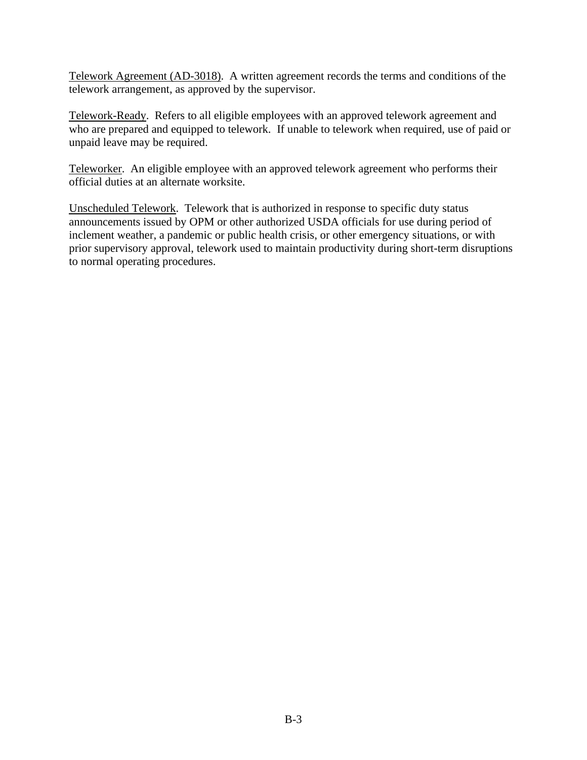Telework Agreement (AD-3018). A written agreement records the terms and conditions of the telework arrangement, as approved by the supervisor.

Telework-Ready. Refers to all eligible employees with an approved telework agreement and who are prepared and equipped to telework. If unable to telework when required, use of paid or unpaid leave may be required.

Teleworker. An eligible employee with an approved telework agreement who performs their official duties at an alternate worksite.

Unscheduled Telework. Telework that is authorized in response to specific duty status announcements issued by OPM or other authorized USDA officials for use during period of inclement weather, a pandemic or public health crisis, or other emergency situations, or with prior supervisory approval, telework used to maintain productivity during short-term disruptions to normal operating procedures.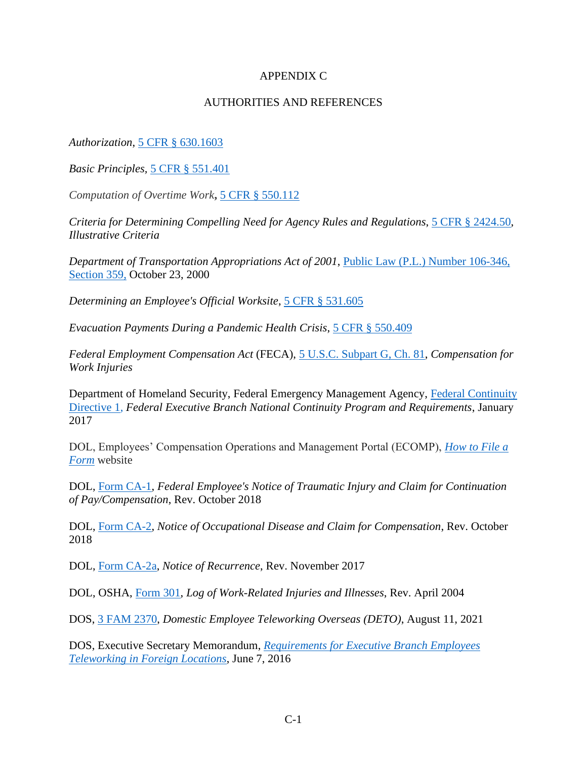## APPENDIX C

## AUTHORITIES AND REFERENCES

*Authorization*, [5 CFR § 630.1603](https://www.govinfo.gov/content/pkg/CFR-2021-title5-vol1/pdf/CFR-2021-title5-vol1-sec630-1603.pdf)

*Basic Principles,* [5 CFR § 551.401](https://www.govinfo.gov/content/pkg/CFR-2021-title5-vol1/pdf/CFR-2021-title5-vol1-sec551-401.pdf)

*Computation of Overtime Work***,** 5 CFR [§ 550.112](https://www.govinfo.gov/content/pkg/CFR-2021-title5-vol1/pdf/CFR-2021-title5-vol1-sec550-112.pdf)

*Criteria for Determining Compelling Need for Agency Rules and Regulations*, [5 CFR § 2424.50,](https://www.govinfo.gov/content/pkg/CFR-2021-title5-vol3/pdf/CFR-2021-title5-vol3-sec2424-50.pdf)  *[Illustrative Criteria](https://www.govinfo.gov/content/pkg/CFR-2021-title5-vol3/pdf/CFR-2021-title5-vol3-sec2424-50.pdf)*

*Department of Transportation Appropriations Act of 2001*, Public Law (P.L.) [Number 106-346,](https://www.congress.gov/106/plaws/publ346/PLAW-106publ346.pdf)  [Section 359,](https://www.congress.gov/106/plaws/publ346/PLAW-106publ346.pdf) October 23, 2000

*Determining an Employee's Official Worksite*, [5 CFR § 531.605](https://www.govinfo.gov/content/pkg/CFR-2021-title5-vol1/pdf/CFR-2021-title5-vol1-sec531-605.pdf)

*Evacuation Payments During a Pandemic Health Crisis*, [5 CFR § 550.409](https://www.govinfo.gov/content/pkg/CFR-2021-title5-vol1/pdf/CFR-2021-title5-vol1-sec550-409.pdf)

*Federal Employment Compensation Act* (FECA), 5 U.S.C. [Subpart G, Ch. 81,](https://www.govinfo.gov/content/pkg/USCODE-2019-title5/pdf/USCODE-2019-title5-partIII-subpartG-chap81.pdf) *Compensation for Work Injuries*

Department of Homeland Security, Federal Emergency Management Agency, [Federal Continuity](https://www.fema.gov/sites/default/files/2020-07/January2017FCD1.pdf)  [Directive 1,](https://www.fema.gov/sites/default/files/2020-07/January2017FCD1.pdf) *Federal Executive Branch National Continuity Program and Requirements*, January 2017

DOL, Employees' Compensation Operations and Management Portal (ECOMP), *[How to File a](https://www.ecomp.dol.gov/content/help/HowToFile.html)  [Form](https://www.ecomp.dol.gov/content/help/HowToFile.html)* website

DOL, [Form CA-1,](https://www.dol.gov/sites/dolgov/files/owcp/regs/compliance/ca-1.pdf) *Federal Employee's Notice of Traumatic Injury and Claim for Continuation of Pay/Compensation*, Rev. October 2018

DOL, [Form CA-2,](https://www.dol.gov/sites/dolgov/files/owcp/regs/compliance/ca-2.pdf) *Notice of Occupational Disease and Claim for Compensation*, Rev. October 2018

DOL, [Form CA-2a,](https://www.dol.gov/sites/dolgov/files/owcp/regs/compliance/ca-2a.pdf) *Notice of Recurrence*, Rev. November 2017

DOL, OSHA, [Form 301,](https://www.osha.gov/sites/default/files/OSHA-RK-Forms-Package.pdf) *Log of Work-Related Injuries and Illnesses*, Rev. April 2004

DOS, [3 FAM 2370,](https://fam.state.gov/FAM/03FAM/03FAM2370.html) *Domestic Employee Teleworking Overseas (DETO)*, August 11, 2021

DOS, Executive Secretary Memorandum, *[Requirements for Executive Branch Employees](https://www.telework.gov/guidance-legislation/telework-guidance/overseas-telework/)  [Teleworking in Foreign Locations](https://www.telework.gov/guidance-legislation/telework-guidance/overseas-telework/)*, June 7, 2016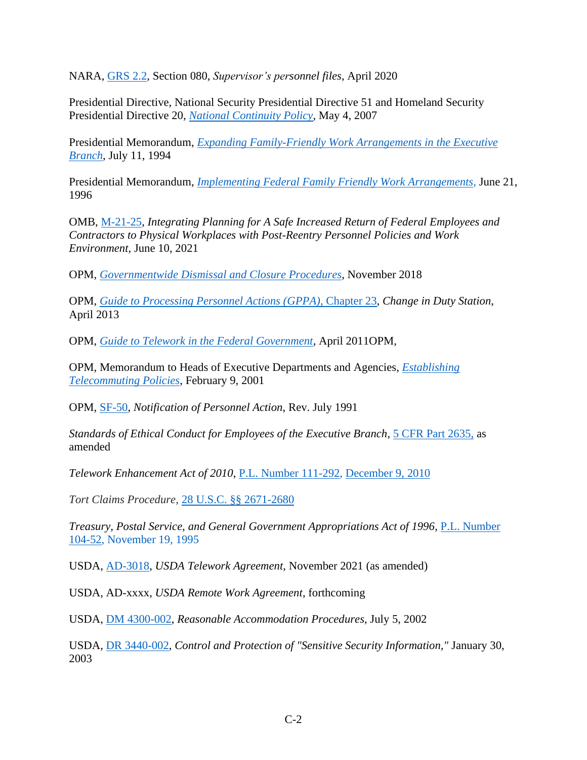NARA, [GRS](https://www.archives.gov/files/records-mgmt/grs/grs02-2.pdf) 2.2, Section 080, *Supervisor's personnel files*, April 2020

Presidential Directive, National Security Presidential Directive 51 and Homeland Security Presidential Directive 20, *[National Continuity Policy](https://policy.defense.gov/portals/11/Documents/hdasa/references/HSPD-20.pdf)*, May 4, 2007

Presidential Memorandum, *[Expanding Family-Friendly Work Arrangements in the Executive](https://www.govinfo.gov/content/pkg/WCPD-1994-07-18/pdf/WCPD-1994-07-18-Pg1468-2.pdf)  [Branch](https://www.govinfo.gov/content/pkg/WCPD-1994-07-18/pdf/WCPD-1994-07-18-Pg1468-2.pdf)*, July 11, 1994

Presidential Memorandum, *[Implementing Federal Family Friendly Work Arrangements,](https://www.govinfo.gov/content/pkg/WCPD-1996-07-01/pdf/WCPD-1996-07-01-Pg1119.pdf)* June 21, 1996

OMB, [M-21-25,](https://www.whitehouse.gov/wp-content/uploads/2021/06/M-21-25.pdf) *Integrating Planning for A Safe Increased Return of Federal Employees and Contractors to Physical Workplaces with Post-Reentry Personnel Policies and Work Environment*, June 10, 2021

OPM, *[Governmentwide Dismissal and Closure Procedures](https://www.opm.gov/policy-data-oversight/pay-leave/reference-materials/handbooks/dcdismissal.pdf)*, November 2018

OPM, *[Guide to Processing Personnel Actions \(GPPA\)](https://www.opm.gov/policy-data-oversight/data-analysis-documentation/personnel-documentation/processing-personnel-actions/gppa23.pdf)*, Chapter 23, *Change in Duty Station*, April 2013

OPM, *[Guide to Telework in the Federal Government](https://www.telework.gov/guidance-legislation/telework-guidance/telework-guide/guide-to-telework-in-the-federal-government.pdf#:~:text=The%20Guide%20to%20Telework%20in%20the%20Federal%20Government,who%20would%20like%20to%20know%20more%20about%20telework.)*, April 2011OPM,

OPM, Memorandum to Heads of Executive Departments and Agencies, *[Establishing](https://chcoc.gov/content/establishing-telecommuting-policies)  [Telecommuting Policies](https://chcoc.gov/content/establishing-telecommuting-policies)*, February 9, 2001

OPM, [SF-50,](https://www.opm.gov/forms/pdfimage/sf50.pdf) *Notification of Personnel Action*, Rev. July 1991

*Standards of Ethical Conduct for Employees of the Executive Branch*, [5 CFR Part 2635,](https://www.govinfo.gov/content/pkg/CFR-2021-title5-vol3/pdf/CFR-2021-title5-vol3-part2635.pdf) as amended

*Telework Enhancement Act of 2010*, [P.L. Number 111-292,](https://www.congress.gov/111/plaws/publ292/PLAW-111publ292.pdf) December 9, 2010

*Tort Claims Procedure,* [28 U.S.C. §§ 2671-2680](https://www.govinfo.gov/content/pkg/USCODE-2019-title28/pdf/USCODE-2019-title28-partVI-chap171.pdf)

*Treasury, Postal Service, and General Government Appropriations Act of 1996*, [P.L. Number](https://www.congress.gov/104/plaws/publ52/PLAW-104publ52.pdf)  [104-52,](https://www.congress.gov/104/plaws/publ52/PLAW-104publ52.pdf) November 19, 1995

USDA, [AD-3018,](https://www.usda.gov/sites/default/files/documents/ad-3018-telework-agreement.pdf) *USDA Telework Agreement*, November 2021 (as amended)

USDA, AD-xxxx, *USDA Remote Work Agreement*, forthcoming

USDA, [DM 4300-002,](https://www.usda.gov/directives/dm-4300-002) *Reasonable Accommodation Procedures,* July 5, 2002

USDA, [DR 3440-002,](https://www.usda.gov/directives/dr-3440-002) *Control and Protection of "Sensitive Security Information,"* January 30, 2003